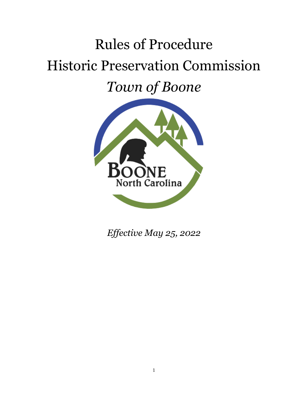# Rules of Procedure Historic Preservation Commission *Town of Boone*



*Effective May 25, 2022*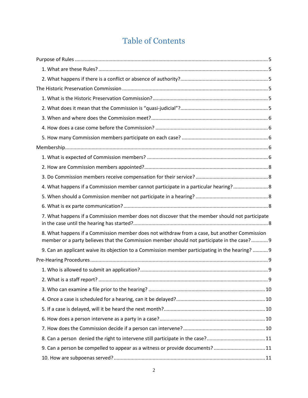# Table of Contents

| 4. What happens if a Commission member cannot participate in a particular hearing? 8                                                                                                        |     |
|---------------------------------------------------------------------------------------------------------------------------------------------------------------------------------------------|-----|
|                                                                                                                                                                                             |     |
|                                                                                                                                                                                             |     |
| 7. What happens if a Commission member does not discover that the member should not participate                                                                                             |     |
| 8. What happens if a Commission member does not withdraw from a case, but another Commission<br>member or a party believes that the Commission member should not participate in the case? 9 |     |
| 9. Can an applicant waive its objection to a Commission member participating in the hearing?  9                                                                                             |     |
|                                                                                                                                                                                             |     |
|                                                                                                                                                                                             |     |
|                                                                                                                                                                                             | . 9 |
|                                                                                                                                                                                             |     |
|                                                                                                                                                                                             |     |
|                                                                                                                                                                                             |     |
|                                                                                                                                                                                             |     |
|                                                                                                                                                                                             |     |
|                                                                                                                                                                                             |     |
| 9. Can a person be compelled to appear as a witness or provide documents?11                                                                                                                 |     |
|                                                                                                                                                                                             |     |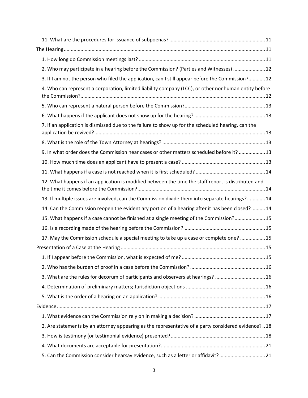| 2. Who may participate in a hearing before the Commission? (Parties and Witnesses)  12               |  |
|------------------------------------------------------------------------------------------------------|--|
| 3. If I am not the person who filed the application, can I still appear before the Commission? 12    |  |
| 4. Who can represent a corporation, limited liability company (LCC), or other nonhuman entity before |  |
|                                                                                                      |  |
|                                                                                                      |  |
|                                                                                                      |  |
| 7. If an application is dismissed due to the failure to show up for the scheduled hearing, can the   |  |
|                                                                                                      |  |
| 9. In what order does the Commission hear cases or other matters scheduled before it?  13            |  |
|                                                                                                      |  |
|                                                                                                      |  |
| 12. What happens if an application is modified between the time the staff report is distributed and  |  |
| 13. If multiple issues are involved, can the Commission divide them into separate hearings? 14       |  |
| 14. Can the Commission reopen the evidentiary portion of a hearing after it has been closed? 14      |  |
| 15. What happens if a case cannot be finished at a single meeting of the Commission? 15              |  |
|                                                                                                      |  |
| 17. May the Commission schedule a special meeting to take up a case or complete one?  15             |  |
|                                                                                                      |  |
|                                                                                                      |  |
|                                                                                                      |  |
| 3. What are the rules for decorum of participants and observers at hearings? 16                      |  |
|                                                                                                      |  |
|                                                                                                      |  |
|                                                                                                      |  |
|                                                                                                      |  |
| 2. Are statements by an attorney appearing as the representative of a party considered evidence?18   |  |
|                                                                                                      |  |
|                                                                                                      |  |
| 5. Can the Commission consider hearsay evidence, such as a letter or affidavit?21                    |  |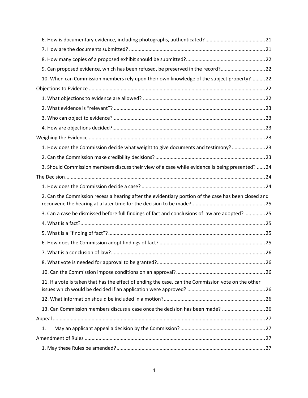| 9. Can proposed evidence, which has been refused, be preserved in the record?22                      |  |
|------------------------------------------------------------------------------------------------------|--|
| 10. When can Commission members rely upon their own knowledge of the subject property? 22            |  |
|                                                                                                      |  |
|                                                                                                      |  |
|                                                                                                      |  |
|                                                                                                      |  |
|                                                                                                      |  |
|                                                                                                      |  |
| 1. How does the Commission decide what weight to give documents and testimony? 23                    |  |
|                                                                                                      |  |
| 3. Should Commission members discuss their view of a case while evidence is being presented?  24     |  |
|                                                                                                      |  |
|                                                                                                      |  |
| 2. Can the Commission recess a hearing after the evidentiary portion of the case has been closed and |  |
| 3. Can a case be dismissed before full findings of fact and conclusions of law are adopted?  25      |  |
|                                                                                                      |  |
|                                                                                                      |  |
|                                                                                                      |  |
|                                                                                                      |  |
|                                                                                                      |  |
|                                                                                                      |  |
| 11. If a vote is taken that has the effect of ending the case, can the Commission vote on the other  |  |
|                                                                                                      |  |
| 13. Can Commission members discuss a case once the decision has been made?  26                       |  |
|                                                                                                      |  |
| 1.                                                                                                   |  |
|                                                                                                      |  |
|                                                                                                      |  |
|                                                                                                      |  |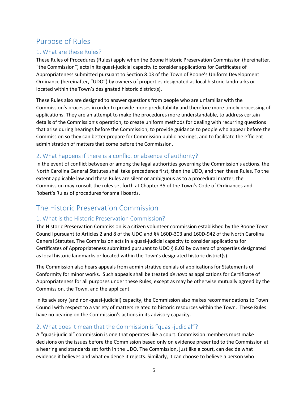# <span id="page-4-0"></span>Purpose of Rules

# <span id="page-4-1"></span>1. What are these Rules?

These Rules of Procedures (Rules) apply when the Boone Historic Preservation Commission (hereinafter, "the Commission") acts in its quasi-judicial capacity to consider applications for Certificates of Appropriateness submitted pursuant to Section 8.03 of the Town of Boone's Uniform Development Ordinance (hereinafter, "UDO") by owners of properties designated as local historic landmarks or located within the Town's designated historic district(s).

These Rules also are designed to answer questions from people who are unfamiliar with the Commission's processes in order to provide more predictability and therefore more timely processing of applications. They are an attempt to make the procedures more understandable, to address certain details of the Commission's operation, to create uniform methods for dealing with recurring questions that arise during hearings before the Commission, to provide guidance to people who appear before the Commission so they can better prepare for Commission public hearings, and to facilitate the efficient administration of matters that come before the Commission.

# <span id="page-4-2"></span>2. What happens if there is a conflict or absence of authority?

In the event of conflict between or among the legal authorities governing the Commission's actions, the North Carolina General Statutes shall take precedence first, then the UDO, and then these Rules. To the extent applicable law and these Rules are silent or ambiguous as to a procedural matter, the Commission may consult the rules set forth at Chapter 35 of the Town's Code of Ordinances and Robert's Rules of procedures for small boards.

# <span id="page-4-3"></span>The Historic Preservation Commission

# <span id="page-4-4"></span>1. What is the Historic Preservation Commission?

The Historic Preservation Commission is a citizen volunteer commission established by the Boone Town Council pursuant to Articles 2 and 8 of the UDO and §§ 160D-303 and 160D-942 of the North Carolina General Statutes. The Commission acts in a quasi-judicial capacity to consider applications for Certificates of Appropriateness submitted pursuant to UDO § 8.03 by owners of properties designated as local historic landmarks or located within the Town's designated historic district(s).

The Commission also hears appeals from administrative denials of applications for Statements of Conformity for minor works. Such appeals shall be treated *de novo* as applications for Certificate of Appropriateness for all purposes under these Rules, except as may be otherwise mutually agreed by the Commission, the Town, and the applicant.

In its advisory (and non-quasi-judicial) capacity, the Commission also makes recommendations to Town Council with respect to a variety of matters related to historic resources within the Town. These Rules have no bearing on the Commission's actions in its advisory capacity.

### <span id="page-4-5"></span>2. What does it mean that the Commission is "quasi-judicial"?

A "quasi-judicial" commission is one that operates like a court. Commission members must make decisions on the issues before the Commission based only on evidence presented to the Commission at a hearing and standards set forth in the UDO. The Commission, just like a court, can decide what evidence it believes and what evidence it rejects. Similarly, it can choose to believe a person who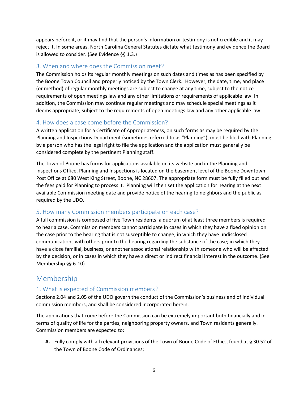appears before it, or it may find that the person's information or testimony is not credible and it may reject it. In some areas, North Carolina General Statutes dictate what testimony and evidence the Board is allowed to consider. (See Evidence §§ 1,3.)

### <span id="page-5-0"></span>3. When and where does the Commission meet?

The Commission holds its regular monthly meetings on such dates and times as has been specified by the Boone Town Council and properly noticed by the Town Clerk. However, the date, time, and place (or method) of regular monthly meetings are subject to change at any time, subject to the notice requirements of open meetings law and any other limitations or requirements of applicable law. In addition, the Commission may continue regular meetings and may schedule special meetings as it deems appropriate, subject to the requirements of open meetings law and any other applicable law.

### <span id="page-5-1"></span>4. How does a case come before the Commission?

A written application for a Certificate of Appropriateness, on such forms as may be required by the Planning and Inspections Department (sometimes referred to as "Planning"), must be filed with Planning by a person who has the legal right to file the application and the application must generally be considered complete by the pertinent Planning staff.

The Town of Boone has forms for applications available on its website and in the Planning and Inspections Office. Planning and Inspections is located on the basement level of the Boone Downtown Post Office at 680 West King Street, Boone, NC 28607. The appropriate form must be fully filled out and the fees paid for Planning to process it. Planning will then set the application for hearing at the next available Commission meeting date and provide notice of the hearing to neighbors and the public as required by the UDO.

### <span id="page-5-2"></span>5. How many Commission members participate on each case?

A full commission is composed of five Town residents; a quorum of at least three members is required to hear a case. Commission members cannot participate in cases in which they have a fixed opinion on the case prior to the hearing that is not susceptible to change; in which they have undisclosed communications with others prior to the hearing regarding the substance of the case; in which they have a close familial, business, or another associational relationship with someone who will be affected by the decision; or in cases in which they have a direct or indirect financial interest in the outcome. (See Membership §§ 6-10)

# <span id="page-5-3"></span>Membership

# <span id="page-5-4"></span>1. What is expected of Commission members?

Sections 2.04 and 2.05 of the UDO govern the conduct of the Commission's business and of individual commission members, and shall be considered incorporated herein.

The applications that come before the Commission can be extremely important both financially and in terms of quality of life for the parties, neighboring property owners, and Town residents generally. Commission members are expected to:

**A.** Fully comply with all relevant provisions of the Town of Boone Code of Ethics, found at § 30.52 of the Town of Boone Code of Ordinances;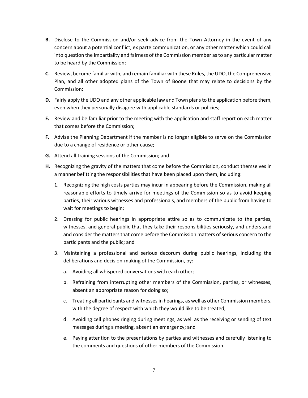- **B.** Disclose to the Commission and/or seek advice from the Town Attorney in the event of any concern about a potential conflict, ex parte communication, or any other matter which could call into question the impartiality and fairness of the Commission member as to any particular matter to be heard by the Commission;
- **C.** Review, become familiar with, and remain familiar with these Rules, the UDO, the Comprehensive Plan, and all other adopted plans of the Town of Boone that may relate to decisions by the Commission;
- **D.** Fairly apply the UDO and any other applicable law and Town plans to the application before them, even when they personally disagree with applicable standards or policies;
- **E.** Review and be familiar prior to the meeting with the application and staff report on each matter that comes before the Commission;
- **F.** Advise the Planning Department if the member is no longer eligible to serve on the Commission due to a change of residence or other cause;
- **G.** Attend all training sessions of the Commission; and
- **H.** Recognizing the gravity of the matters that come before the Commission, conduct themselves in a manner befitting the responsibilities that have been placed upon them, including:
	- 1. Recognizing the high costs parties may incur in appearing before the Commission, making all reasonable efforts to timely arrive for meetings of the Commission so as to avoid keeping parties, their various witnesses and professionals, and members of the public from having to wait for meetings to begin;
	- 2. Dressing for public hearings in appropriate attire so as to communicate to the parties, witnesses, and general public that they take their responsibilities seriously, and understand and consider the matters that come before the Commission matters of serious concern to the participants and the public; and
	- 3. Maintaining a professional and serious decorum during public hearings, including the deliberations and decision-making of the Commission, by:
		- a. Avoiding all whispered conversations with each other;
		- b. Refraining from interrupting other members of the Commission, parties, or witnesses, absent an appropriate reason for doing so;
		- c. Treating all participants and witnesses in hearings, as well as other Commission members, with the degree of respect with which they would like to be treated;
		- d. Avoiding cell phones ringing during meetings, as well as the receiving or sending of text messages during a meeting, absent an emergency; and
		- e. Paying attention to the presentations by parties and witnesses and carefully listening to the comments and questions of other members of the Commission.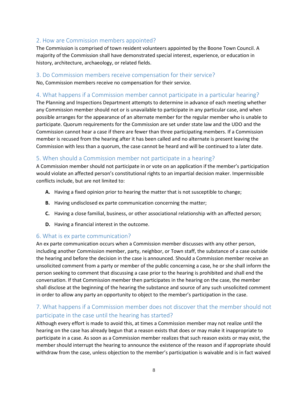### <span id="page-7-0"></span>2. How are Commission members appointed?

The Commission is comprised of town resident volunteers appointed by the Boone Town Council. A majority of the Commission shall have demonstrated special interest, experience, or education in history, architecture, archaeology, or related fields.

#### <span id="page-7-1"></span>3. Do Commission members receive compensation for their service?

No, Commission members receive no compensation for their service.

### <span id="page-7-2"></span>4. What happens if a Commission member cannot participate in a particular hearing?

The Planning and Inspections Department attempts to determine in advance of each meeting whether any Commission member should not or is unavailable to participate in any particular case, and when possible arranges for the appearance of an alternate member for the regular member who is unable to participate. Quorum requirements for the Commission are set under state law and the UDO and the Commission cannot hear a case if there are fewer than three participating members. If a Commission member is recused from the hearing after it has been called and no alternate is present leaving the Commission with less than a quorum, the case cannot be heard and will be continued to a later date.

### <span id="page-7-3"></span>5. When should a Commission member not participate in a hearing?

A Commission member should not participate in or vote on an application if the member's participation would violate an affected person's constitutional rights to an impartial decision maker. Impermissible conflicts include, but are not limited to:

- **A.** Having a fixed opinion prior to hearing the matter that is not susceptible to change;
- **B.** Having undisclosed ex parte communication concerning the matter;
- **C.** Having a close familial, business, or other associational relationship with an affected person;
- **D.** Having a financial interest in the outcome.

#### <span id="page-7-4"></span>6. What is ex parte communication?

An ex parte communication occurs when a Commission member discusses with any other person, including another Commission member, party, neighbor, or Town staff, the substance of a case outside the hearing and before the decision in the case is announced. Should a Commission member receive an unsolicited comment from a party or member of the public concerning a case, he or she shall inform the person seeking to comment that discussing a case prior to the hearing is prohibited and shall end the conversation. If that Commission member then participates in the hearing on the case, the member shall disclose at the beginning of the hearing the substance and source of any such unsolicited comment in order to allow any party an opportunity to object to the member's participation in the case.

# <span id="page-7-5"></span>7. What happens if a Commission member does not discover that the member should not participate in the case until the hearing has started?

Although every effort is made to avoid this, at times a Commission member may not realize until the hearing on the case has already begun that a reason exists that does or may make it inappropriate to participate in a case. As soon as a Commission member realizes that such reason exists or may exist, the member should interrupt the hearing to announce the existence of the reason and if appropriate should withdraw from the case, unless objection to the member's participation is waivable and is in fact waived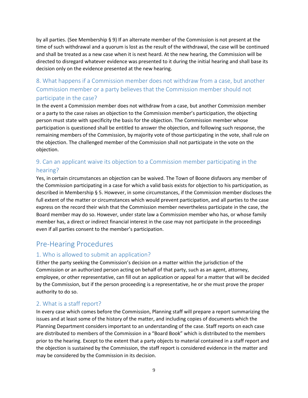by all parties. (See Membership § 9) If an alternate member of the Commission is not present at the time of such withdrawal and a quorum is lost as the result of the withdrawal, the case will be continued and shall be treated as a new case when it is next heard. At the new hearing, the Commission will be directed to disregard whatever evidence was presented to it during the initial hearing and shall base its decision only on the evidence presented at the new hearing.

# <span id="page-8-0"></span>8. What happens if a Commission member does not withdraw from a case, but another Commission member or a party believes that the Commission member should not participate in the case?

In the event a Commission member does not withdraw from a case, but another Commission member or a party to the case raises an objection to the Commission member's participation, the objecting person must state with specificity the basis for the objection. The Commission member whose participation is questioned shall be entitled to answer the objection, and following such response, the remaining members of the Commission, by majority vote of those participating in the vote, shall rule on the objection. The challenged member of the Commission shall not participate in the vote on the objection.

# <span id="page-8-1"></span>9. Can an applicant waive its objection to a Commission member participating in the hearing?

Yes, in certain circumstances an objection can be waived. The Town of Boone disfavors any member of the Commission participating in a case for which a valid basis exists for objection to his participation, as described in Membership § 5. However, in some circumstances, if the Commission member discloses the full extent of the matter or circumstances which would prevent participation, and all parties to the case express on the record their wish that the Commission member nevertheless participate in the case, the Board member may do so. However, under state law a Commission member who has, or whose family member has, a direct or indirect financial interest in the case may not participate in the proceedings even if all parties consent to the member's participation.

# <span id="page-8-2"></span>Pre-Hearing Procedures

# <span id="page-8-3"></span>1. Who is allowed to submit an application?

Either the party seeking the Commission's decision on a matter within the jurisdiction of the Commission or an authorized person acting on behalf of that party, such as an agent, attorney, employee, or other representative, can fill out an application or appeal for a matter that will be decided by the Commission, but if the person proceeding is a representative, he or she must prove the proper authority to do so.

# <span id="page-8-4"></span>2. What is a staff report?

In every case which comes before the Commission, Planning staff will prepare a report summarizing the issues and at least some of the history of the matter, and including copies of documents which the Planning Department considers important to an understanding of the case. Staff reports on each case are distributed to members of the Commission in a "Board Book" which is distributed to the members prior to the hearing. Except to the extent that a party objects to material contained in a staff report and the objection is sustained by the Commission, the staff report is considered evidence in the matter and may be considered by the Commission in its decision.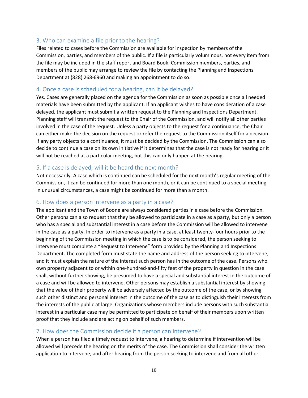### <span id="page-9-0"></span>3. Who can examine a file prior to the hearing?

Files related to cases before the Commission are available for inspection by members of the Commission, parties, and members of the public. If a file is particularly voluminous, not every item from the file may be included in the staff report and Board Book. Commission members, parties, and members of the public may arrange to review the file by contacting the Planning and Inspections Department at (828) 268-6960 and making an appointment to do so.

#### <span id="page-9-1"></span>4. Once a case is scheduled for a hearing, can it be delayed?

Yes. Cases are generally placed on the agenda for the Commission as soon as possible once all needed materials have been submitted by the applicant. If an applicant wishes to have consideration of a case delayed, the applicant must submit a written request to the Planning and Inspections Department. Planning staff will transmit the request to the Chair of the Commission, and will notify all other parties involved in the case of the request. Unless a party objects to the request for a continuance, the Chair can either make the decision on the request or refer the request to the Commission itself for a decision. If any party objects to a continuance, it must be decided by the Commission. The Commission can also decide to continue a case on its own initiative if it determines that the case is not ready for hearing or it will not be reached at a particular meeting, but this can only happen at the hearing.

#### <span id="page-9-2"></span>5. If a case is delayed, will it be heard the next month?

Not necessarily. A case which is continued can be scheduled for the next month's regular meeting of the Commission, it can be continued for more than one month, or it can be continued to a special meeting. In unusual circumstances, a case might be continued for more than a month.

#### <span id="page-9-3"></span>6. How does a person intervene as a party in a case?

The applicant and the Town of Boone are always considered parties in a case before the Commission. Other persons can also request that they be allowed to participate in a case as a party, but only a person who has a special and substantial interest in a case before the Commission will be allowed to intervene in the case as a party. In order to intervene as a party in a case, at least twenty-four hours prior to the beginning of the Commission meeting in which the case is to be considered, the person seeking to intervene must complete a "Request to Intervene" form provided by the Planning and Inspections Department. The completed form must state the name and address of the person seeking to intervene, and it must explain the nature of the interest such person has in the outcome of the case. Persons who own property adjacent to or within one-hundred-and-fifty feet of the property in question in the case shall, without further showing, be presumed to have a special and substantial interest in the outcome of a case and will be allowed to intervene. Other persons may establish a substantial interest by showing that the value of their property will be adversely affected by the outcome of the case, or by showing such other distinct and personal interest in the outcome of the case as to distinguish their interests from the interests of the public at large. Organizations whose members include persons with such substantial interest in a particular case may be permitted to participate on behalf of their members upon written proof that they include and are acting on behalf of such members.

#### <span id="page-9-4"></span>7. How does the Commission decide if a person can intervene?

When a person has filed a timely request to intervene, a hearing to determine if intervention will be allowed will precede the hearing on the merits of the case. The Commission shall consider the written application to intervene, and after hearing from the person seeking to intervene and from all other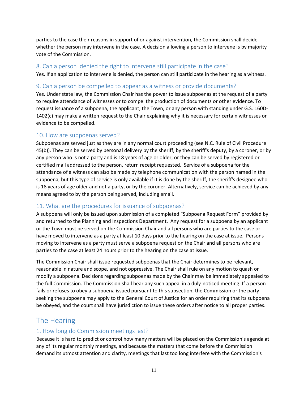parties to the case their reasons in support of or against intervention, the Commission shall decide whether the person may intervene in the case. A decision allowing a person to intervene is by majority vote of the Commission.

#### <span id="page-10-0"></span>8. Can a person denied the right to intervene still participate in the case?

Yes. If an application to intervene is denied, the person can still participate in the hearing as a witness.

#### <span id="page-10-1"></span>9. Can a person be compelled to appear as a witness or provide documents?

Yes. Under state law, the Commission Chair has the power to issue subpoenas at the request of a party to require attendance of witnesses or to compel the production of documents or other evidence. To request issuance of a subpoena, the applicant, the Town, or any person with standing under G.S. 160D-1402(c) may make a written request to the Chair explaining why it is necessary for certain witnesses or evidence to be compelled.

### <span id="page-10-2"></span>10. How are subpoenas served?

Subpoenas are served just as they are in any normal court proceeding (see N.C. Rule of Civil Procedure 45(b)). They can be served by personal delivery by the sheriff, by the sheriff's deputy, by a coroner, or by any person who is not a party and is 18 years of age or older; or they can be served by registered or certified mail addressed to the person, return receipt requested. Service of a subpoena for the attendance of a witness can also be made by telephone communication with the person named in the subpoena, but this type of service is only available if it is done by the sheriff, the sheriff's designee who is 18 years of age older and not a party, or by the coroner. Alternatively, service can be achieved by any means agreed to by the person being served, including email.

### <span id="page-10-3"></span>11. What are the procedures for issuance of subpoenas?

A subpoena will only be issued upon submission of a completed "Subpoena Request Form" provided by and returned to the Planning and Inspections Department. Any request for a subpoena by an applicant or the Town must be served on the Commission Chair and all persons who are parties to the case or have moved to intervene as a party at least 10 days prior to the hearing on the case at issue. Persons moving to intervene as a party must serve a subpoena request on the Chair and all persons who are parties to the case at least 24 hours prior to the hearing on the case at issue.

The Commission Chair shall issue requested subpoenas that the Chair determines to be relevant, reasonable in nature and scope, and not oppressive. The Chair shall rule on any motion to quash or modify a subpoena. Decisions regarding subpoenas made by the Chair may be immediately appealed to the full Commission. The Commission shall hear any such appeal in a duly-noticed meeting. If a person fails or refuses to obey a subpoena issued pursuant to this subsection, the Commission or the party seeking the subpoena may apply to the General Court of Justice for an order requiring that its subpoena be obeyed, and the court shall have jurisdiction to issue these orders after notice to all proper parties.

# <span id="page-10-4"></span>The Hearing

### <span id="page-10-5"></span>1. How long do Commission meetings last?

Because it is hard to predict or control how many matters will be placed on the Commission's agenda at any of its regular monthly meetings, and because the matters that come before the Commission demand its utmost attention and clarity, meetings that last too long interfere with the Commission's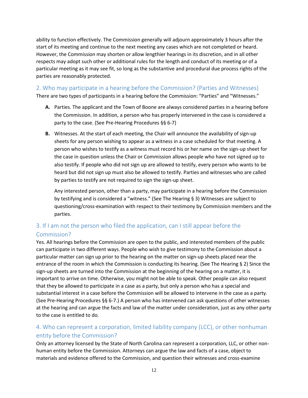ability to function effectively. The Commission generally will adjourn approximately 3 hours after the start of its meeting and continue to the next meeting any cases which are not completed or heard. However, the Commission may shorten or allow lengthier hearings in its discretion, and in all other respects may adopt such other or additional rules for the length and conduct of its meeting or of a particular meeting as it may see fit, so long as the substantive and procedural due process rights of the parties are reasonably protected.

### <span id="page-11-0"></span>2. Who may participate in a hearing before the Commission? (Parties and Witnesses)

There are two types of participants in a hearing before the Commission: "Parties" and "Witnesses."

- **A.** Parties. The applicant and the Town of Boone are always considered parties in a hearing before the Commission. In addition, a person who has properly intervened in the case is considered a party to the case. (See Pre-Hearing Procedures §§ 6-7)
- **B.** Witnesses. At the start of each meeting, the Chair will announce the availability of sign-up sheets for any person wishing to appear as a witness in a case scheduled for that meeting. A person who wishes to testify as a witness must record his or her name on the sign-up sheet for the case in question unless the Chair or Commission allows people who have not signed up to also testify. If people who did not sign up are allowed to testify, every person who wants to be heard but did not sign up must also be allowed to testify. Parties and witnesses who are called by parties to testify are not required to sign the sign-up sheet.

Any interested person, other than a party, may participate in a hearing before the Commission by testifying and is considered a "witness." (See The Hearing § 3) Witnesses are subject to questioning/cross-examination with respect to their testimony by Commission members and the parties.

# <span id="page-11-1"></span>3. If I am not the person who filed the application, can I still appear before the Commission?

Yes. All hearings before the Commission are open to the public, and interested members of the public can participate in two different ways. People who wish to give testimony to the Commission about a particular matter can sign up prior to the hearing on the matter on sign-up sheets placed near the entrance of the room in which the Commission is conducting its hearing. (See The Hearing § 2) Since the sign-up sheets are turned into the Commission at the beginning of the hearing on a matter, it is important to arrive on time. Otherwise, you might not be able to speak. Other people can also request that they be allowed to participate in a case as a party, but only a person who has a special and substantial interest in a case before the Commission will be allowed to intervene in the case as a party. (See Pre-Hearing Procedures §§ 6-7.) A person who has intervened can ask questions of other witnesses at the hearing and can argue the facts and law of the matter under consideration, just as any other party to the case is entitled to do.

# <span id="page-11-2"></span>4. Who can represent a corporation, limited liability company (LCC), or other nonhuman entity before the Commission?

Only an attorney licensed by the State of North Carolina can represent a corporation, LLC, or other nonhuman entity before the Commission. Attorneys can argue the law and facts of a case, object to materials and evidence offered to the Commission, and question their witnesses and cross-examine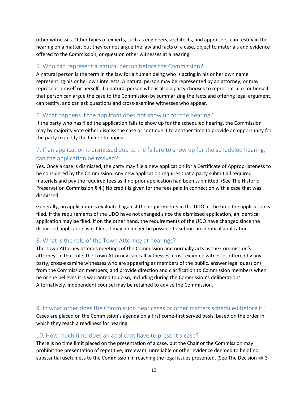other witnesses. Other types of experts, such as engineers, architects, and appraisers, can testify in the hearing on a matter, but they cannot argue the law and facts of a case, object to materials and evidence offered to the Commission, or question other witnesses at a hearing.

#### <span id="page-12-0"></span>5. Who can represent a natural person before the Commission?

A natural person is the term in the law for a human being who is acting in his or her own name representing his or her own interests. A natural person may be represented by an attorney, or may represent himself or herself. If a natural person who is also a party chooses to represent him- or herself, that person can argue the case to the Commission by summarizing the facts and offering legal argument, can testify, and can ask questions and cross-examine witnesses who appear.

### <span id="page-12-1"></span>6. What happens if the applicant does not show up for the hearing?

If the party who has filed the application fails to show up for the scheduled hearing, the Commission may by majority vote either dismiss the case or continue it to another time to provide an opportunity for the party to justify the failure to appear.

# <span id="page-12-2"></span>7. If an application is dismissed due to the failure to show up for the scheduled hearing, can the application be revived?

Yes. Once a case is dismissed, the party may file a new application for a Certificate of Appropriateness to be considered by the Commission. Any new application requires that a party submit all required materials and pay the required fees as if no prior application had been submitted. (See The Historic Preservation Commission § 4.) No credit is given for the fees paid in connection with a case that was dismissed.

Generally, an application is evaluated against the requirements in the UDO at the time the application is filed. If the requirements of the UDO have not changed since the dismissed application, an identical application may be filed. If on the other hand, the requirements of the UDO have changed since the dismissed application was filed, it may no longer be possible to submit an identical application.

#### <span id="page-12-3"></span>8. What is the role of the Town Attorney at hearings?

The Town Attorney attends meetings of the Commission and normally acts as the Commission's attorney. In that role, the Town Attorney can call witnesses, cross-examine witnesses offered by any party, cross-examine witnesses who are appearing as members of the public, answer legal questions from the Commission members, and provide direction and clarification to Commission members when he or she believes it is warranted to do so, including during the Commission's deliberations. Alternatively, independent counsel may be retained to advise the Commission.

#### <span id="page-12-4"></span>9. In what order does the Commission hear cases or other matters scheduled before it?

Cases are placed on the Commission's agenda on a first come-first served basis, based on the order in which they reach a readiness for hearing.

#### <span id="page-12-5"></span>10. How much time does an applicant have to present a case?

There is no time limit placed on the presentation of a case, but the Chair or the Commission may prohibit the presentation of repetitive, irrelevant, unreliable or other evidence deemed to be of no substantial usefulness to the Commission in reaching the legal issues presented. (See The Decision §§ 3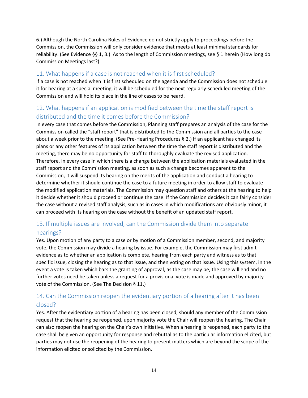6.) Although the North Carolina Rules of Evidence do not strictly apply to proceedings before the Commission, the Commission will only consider evidence that meets at least minimal standards for reliability. (See Evidence §§ 1, 3.) As to the length of Commission meetings, see § 1 herein (How long do Commission Meetings last?).

# <span id="page-13-0"></span>11. What happens if a case is not reached when it is first scheduled?

If a case is not reached when it is first scheduled on the agenda and the Commission does not schedule it for hearing at a special meeting, it will be scheduled for the next regularly-scheduled meeting of the Commission and will hold its place in the line of cases to be heard.

# <span id="page-13-1"></span>12. What happens if an application is modified between the time the staff report is distributed and the time it comes before the Commission?

In every case that comes before the Commission, Planning staff prepares an analysis of the case for the Commission called the "staff report" that is distributed to the Commission and all parties to the case about a week prior to the meeting. (See Pre-Hearing Procedures § 2.) If an applicant has changed its plans or any other features of its application between the time the staff report is distributed and the meeting, there may be no opportunity for staff to thoroughly evaluate the revised application. Therefore, in every case in which there is a change between the application materials evaluated in the staff report and the Commission meeting, as soon as such a change becomes apparent to the Commission, it will suspend its hearing on the merits of the application and conduct a hearing to determine whether it should continue the case to a future meeting in order to allow staff to evaluate the modified application materials. The Commission may question staff and others at the hearing to help it decide whether it should proceed or continue the case. If the Commission decides it can fairly consider the case without a revised staff analysis, such as in cases in which modifications are obviously minor, it can proceed with its hearing on the case without the benefit of an updated staff report.

# <span id="page-13-2"></span>13. If multiple issues are involved, can the Commission divide them into separate hearings?

Yes. Upon motion of any party to a case or by motion of a Commission member, second, and majority vote, the Commission may divide a hearing by issue. For example, the Commission may first admit evidence as to whether an application is complete, hearing from each party and witness as to that specific issue, closing the hearing as to that issue, and then voting on that issue. Using this system, in the event a vote is taken which bars the granting of approval, as the case may be, the case will end and no further votes need be taken unless a request for a provisional vote is made and approved by majority vote of the Commission. (See The Decision § 11.)

# <span id="page-13-3"></span>14. Can the Commission reopen the evidentiary portion of a hearing after it has been closed?

Yes. After the evidentiary portion of a hearing has been closed, should any member of the Commission request that the hearing be reopened, upon majority vote the Chair will reopen the hearing. The Chair can also reopen the hearing on the Chair's own initiative. When a hearing is reopened, each party to the case shall be given an opportunity for response and rebuttal as to the particular information elicited, but parties may not use the reopening of the hearing to present matters which are beyond the scope of the information elicited or solicited by the Commission.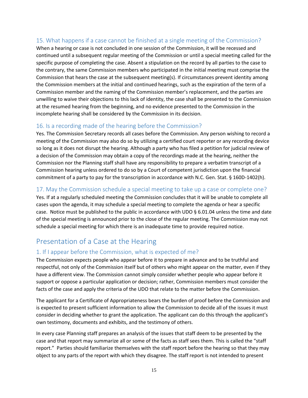# <span id="page-14-0"></span>15. What happens if a case cannot be finished at a single meeting of the Commission?

When a hearing or case is not concluded in one session of the Commission, it will be recessed and continued until a subsequent regular meeting of the Commission or until a special meeting called for the specific purpose of completing the case. Absent a stipulation on the record by all parties to the case to the contrary, the same Commission members who participated in the initial meeting must comprise the Commission that hears the case at the subsequent meeting(s). If circumstances prevent identity among the Commission members at the initial and continued hearings, such as the expiration of the term of a Commission member and the naming of the Commission member's replacement, and the parties are unwilling to waive their objections to this lack of identity, the case shall be presented to the Commission at the resumed hearing from the beginning, and no evidence presented to the Commission in the incomplete hearing shall be considered by the Commission in its decision.

### <span id="page-14-1"></span>16. Is a recording made of the hearing before the Commission?

Yes. The Commission Secretary records all cases before the Commission. Any person wishing to record a meeting of the Commission may also do so by utilizing a certified court reporter or any recording device so long as it does not disrupt the hearing. Although a party who has filed a petition for judicial review of a decision of the Commission may obtain a copy of the recordings made at the hearing, neither the Commission nor the Planning staff shall have any responsibility to prepare a verbatim transcript of a Commission hearing unless ordered to do so by a Court of competent jurisdiction upon the financial commitment of a party to pay for the transcription in accordance with N.C. Gen. Stat. § 160D-1402(h).

### <span id="page-14-2"></span>17. May the Commission schedule a special meeting to take up a case or complete one?

Yes. If at a regularly scheduled meeting the Commission concludes that it will be unable to complete all cases upon the agenda, it may schedule a special meeting to complete the agenda or hear a specific case. Notice must be published to the public in accordance with UDO § 6.01.04 unless the time and date of the special meeting is announced prior to the close of the regular meeting. The Commission may not schedule a special meeting for which there is an inadequate time to provide required notice.

# <span id="page-14-3"></span>Presentation of a Case at the Hearing

# <span id="page-14-4"></span>1. If I appear before the Commission, what is expected of me?

The Commission expects people who appear before it to prepare in advance and to be truthful and respectful, not only of the Commission itself but of others who might appear on the matter, even if they have a different view. The Commission cannot simply consider whether people who appear before it support or oppose a particular application or decision; rather, Commission members must consider the facts of the case and apply the criteria of the UDO that relate to the matter before the Commission.

The applicant for a Certificate of Appropriateness bears the burden of proof before the Commission and is expected to present sufficient information to allow the Commission to decide all of the issues it must consider in deciding whether to grant the application. The applicant can do this through the applicant's own testimony, documents and exhibits, and the testimony of others.

In every case Planning staff prepares an analysis of the issues that staff deem to be presented by the case and that report may summarize all or some of the facts as staff sees them. This is called the "staff report." Parties should familiarize themselves with the staff report before the hearing so that they may object to any parts of the report with which they disagree. The staff report is not intended to present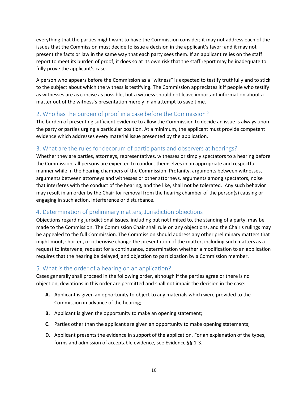everything that the parties might want to have the Commission consider; it may not address each of the issues that the Commission must decide to issue a decision in the applicant's favor; and it may not present the facts or law in the same way that each party sees them. If an applicant relies on the staff report to meet its burden of proof, it does so at its own risk that the staff report may be inadequate to fully prove the applicant's case.

A person who appears before the Commission as a "witness" is expected to testify truthfully and to stick to the subject about which the witness is testifying. The Commission appreciates it if people who testify as witnesses are as concise as possible, but a witness should not leave important information about a matter out of the witness's presentation merely in an attempt to save time.

### <span id="page-15-0"></span>2. Who has the burden of proof in a case before the Commission?

The burden of presenting sufficient evidence to allow the Commission to decide an issue is always upon the party or parties urging a particular position. At a minimum, the applicant must provide competent evidence which addresses every material issue presented by the application.

### <span id="page-15-1"></span>3. What are the rules for decorum of participants and observers at hearings?

Whether they are parties, attorneys, representatives, witnesses or simply spectators to a hearing before the Commission, all persons are expected to conduct themselves in an appropriate and respectful manner while in the hearing chambers of the Commission. Profanity, arguments between witnesses, arguments between attorneys and witnesses or other attorneys, arguments among spectators, noise that interferes with the conduct of the hearing, and the like, shall not be tolerated. Any such behavior may result in an order by the Chair for removal from the hearing chamber of the person(s) causing or engaging in such action, interference or disturbance.

### <span id="page-15-2"></span>4. Determination of preliminary matters; Jurisdiction objections

Objections regarding jurisdictional issues, including but not limited to, the standing of a party, may be made to the Commission. The Commission Chair shall rule on any objections, and the Chair's rulings may be appealed to the full Commission. The Commission should address any other preliminary matters that might moot, shorten, or otherwise change the presentation of the matter, including such matters as a request to intervene, request for a continuance, determination whether a modification to an application requires that the hearing be delayed, and objection to participation by a Commission member.

### <span id="page-15-3"></span>5. What is the order of a hearing on an application?

Cases generally shall proceed in the following order, although if the parties agree or there is no objection, deviations in this order are permitted and shall not impair the decision in the case:

- **A.** Applicant is given an opportunity to object to any materials which were provided to the Commission in advance of the hearing;
- **B.** Applicant is given the opportunity to make an opening statement;
- **C.** Parties other than the applicant are given an opportunity to make opening statements;
- **D.** Applicant presents the evidence in support of the application. For an explanation of the types, forms and admission of acceptable evidence, see Evidence §§ 1-3.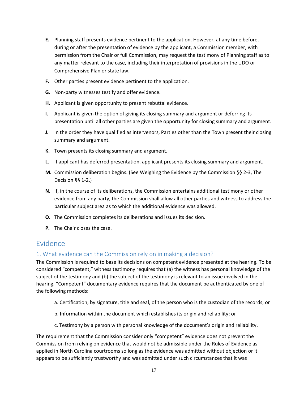- **E.** Planning staff presents evidence pertinent to the application. However, at any time before, during or after the presentation of evidence by the applicant, a Commission member, with permission from the Chair or full Commission, may request the testimony of Planning staff as to any matter relevant to the case, including their interpretation of provisions in the UDO or Comprehensive Plan or state law.
- **F.** Other parties present evidence pertinent to the application.
- **G.** Non-party witnesses testify and offer evidence.
- **H.** Applicant is given opportunity to present rebuttal evidence.
- **I.** Applicant is given the option of giving its closing summary and argument or deferring its presentation until all other parties are given the opportunity for closing summary and argument.
- **J.** In the order they have qualified as intervenors, Parties other than the Town present their closing summary and argument.
- **K.** Town presents its closing summary and argument.
- **L.** If applicant has deferred presentation, applicant presents its closing summary and argument.
- **M.** Commission deliberation begins. (See Weighing the Evidence by the Commission §§ 2-3, The Decision §§ 1-2.)
- **N.** If, in the course of its deliberations, the Commission entertains additional testimony or other evidence from any party, the Commission shall allow all other parties and witness to address the particular subject area as to which the additional evidence was allowed.
- **O.** The Commission completes its deliberations and issues its decision.
- **P.** The Chair closes the case.

# <span id="page-16-0"></span>Evidence

### <span id="page-16-1"></span>1. What evidence can the Commission rely on in making a decision?

The Commission is required to base its decisions on competent evidence presented at the hearing. To be considered "competent," witness testimony requires that (a) the witness has personal knowledge of the subject of the testimony and (b) the subject of the testimony is relevant to an issue involved in the hearing. "Competent" documentary evidence requires that the document be authenticated by one of the following methods:

- a. Certification, by signature, title and seal, of the person who is the custodian of the records; or
- b. Information within the document which establishes its origin and reliability; or
- c. Testimony by a person with personal knowledge of the document's origin and reliability.

The requirement that the Commission consider only "competent" evidence does not prevent the Commission from relying on evidence that would not be admissible under the Rules of Evidence as applied in North Carolina courtrooms so long as the evidence was admitted without objection or it appears to be sufficiently trustworthy and was admitted under such circumstances that it was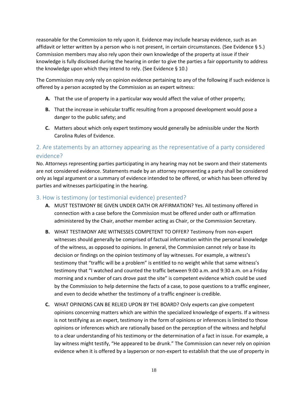reasonable for the Commission to rely upon it. Evidence may include hearsay evidence, such as an affidavit or letter written by a person who is not present, in certain circumstances. (See Evidence § 5.) Commission members may also rely upon their own knowledge of the property at issue if their knowledge is fully disclosed during the hearing in order to give the parties a fair opportunity to address the knowledge upon which they intend to rely. (See Evidence § 10.)

The Commission may only rely on opinion evidence pertaining to any of the following if such evidence is offered by a person accepted by the Commission as an expert witness:

- **A.** That the use of property in a particular way would affect the value of other property;
- **B.** That the increase in vehicular traffic resulting from a proposed development would pose a danger to the public safety; and
- **C.** Matters about which only expert testimony would generally be admissible under the North Carolina Rules of Evidence.

# <span id="page-17-0"></span>2. Are statements by an attorney appearing as the representative of a party considered evidence?

No. Attorneys representing parties participating in any hearing may not be sworn and their statements are not considered evidence. Statements made by an attorney representing a party shall be considered only as legal argument or a summary of evidence intended to be offered, or which has been offered by parties and witnesses participating in the hearing.

### <span id="page-17-1"></span>3. How is testimony (or testimonial evidence) presented?

- **A.** MUST TESTIMONY BE GIVEN UNDER OATH OR AFFIRMATION? Yes. All testimony offered in connection with a case before the Commission must be offered under oath or affirmation administered by the Chair, another member acting as Chair, or the Commission Secretary.
- **B.** WHAT TESTIMONY ARE WITNESSES COMPETENT TO OFFER? Testimony from non-expert witnesses should generally be comprised of factual information within the personal knowledge of the witness, as opposed to opinions. In general, the Commission cannot rely or base its decision or findings on the opinion testimony of lay witnesses. For example, a witness's testimony that "traffic will be a problem" is entitled to no weight while that same witness's testimony that "I watched and counted the traffic between 9:00 a.m. and 9:30 a.m. on a Friday morning and x number of cars drove past the site" is competent evidence which could be used by the Commission to help determine the facts of a case, to pose questions to a traffic engineer, and even to decide whether the testimony of a traffic engineer is credible.
- **C.** WHAT OPINIONS CAN BE RELIED UPON BY THE BOARD? Only experts can give competent opinions concerning matters which are within the specialized knowledge of experts. If a witness is not testifying as an expert, testimony in the form of opinions or inferences is limited to those opinions or inferences which are rationally based on the perception of the witness and helpful to a clear understanding of his testimony or the determination of a fact in issue. For example, a lay witness might testify, "He appeared to be drunk." The Commission can never rely on opinion evidence when it is offered by a layperson or non-expert to establish that the use of property in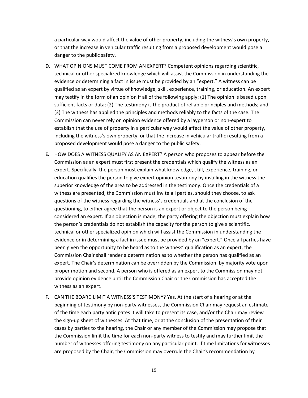a particular way would affect the value of other property, including the witness's own property, or that the increase in vehicular traffic resulting from a proposed development would pose a danger to the public safety.

- **D.** WHAT OPINIONS MUST COME FROM AN EXPERT? Competent opinions regarding scientific, technical or other specialized knowledge which will assist the Commission in understanding the evidence or determining a fact in issue must be provided by an "expert." A witness can be qualified as an expert by virtue of knowledge, skill, experience, training, or education. An expert may testify in the form of an opinion if all of the following apply: (1) The opinion is based upon sufficient facts or data; (2) The testimony is the product of reliable principles and methods; and (3) The witness has applied the principles and methods reliably to the facts of the case. The Commission can never rely on opinion evidence offered by a layperson or non-expert to establish that the use of property in a particular way would affect the value of other property, including the witness's own property, or that the increase in vehicular traffic resulting from a proposed development would pose a danger to the public safety.
- **E.** HOW DOES A WITNESS QUALIFY AS AN EXPERT? A person who proposes to appear before the Commission as an expert must first present the credentials which qualify the witness as an expert. Specifically, the person must explain what knowledge, skill, experience, training, or education qualifies the person to give expert opinion testimony by instilling in the witness the superior knowledge of the area to be addressed in the testimony. Once the credentials of a witness are presented, the Commission must invite all parties, should they choose, to ask questions of the witness regarding the witness's credentials and at the conclusion of the questioning, to either agree that the person is an expert or object to the person being considered an expert. If an objection is made, the party offering the objection must explain how the person's credentials do not establish the capacity for the person to give a scientific, technical or other specialized opinion which will assist the Commission in understanding the evidence or in determining a fact in issue must be provided by an "expert." Once all parties have been given the opportunity to be heard as to the witness' qualification as an expert, the Commission Chair shall render a determination as to whether the person has qualified as an expert. The Chair's determination can be overridden by the Commission, by majority vote upon proper motion and second. A person who is offered as an expert to the Commission may not provide opinion evidence until the Commission Chair or the Commission has accepted the witness as an expert.
- **F.** CAN THE BOARD LIMIT A WITNESS'S TESTIMONY? Yes. At the start of a hearing or at the beginning of testimony by non-party witnesses, the Commission Chair may request an estimate of the time each party anticipates it will take to present its case, and/or the Chair may review the sign-up sheet of witnesses. At that time, or at the conclusion of the presentation of their cases by parties to the hearing, the Chair or any member of the Commission may propose that the Commission limit the time for each non-party witness to testify and may further limit the number of witnesses offering testimony on any particular point. If time limitations for witnesses are proposed by the Chair, the Commission may overrule the Chair's recommendation by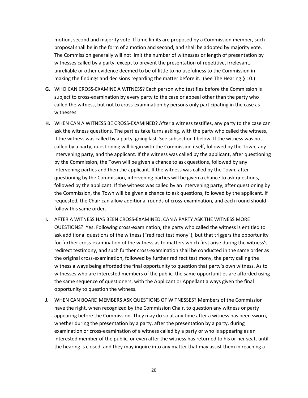motion, second and majority vote. If time limits are proposed by a Commission member, such proposal shall be in the form of a motion and second, and shall be adopted by majority vote. The Commission generally will not limit the number of witnesses or length of presentation by witnesses called by a party, except to prevent the presentation of repetitive, irrelevant, unreliable or other evidence deemed to be of little to no usefulness to the Commission in making the findings and decisions regarding the matter before it.. (See The Hearing § 10.)

- **G.** WHO CAN CROSS-EXAMINE A WITNESS? Each person who testifies before the Commission is subject to cross-examination by every party to the case or appeal other than the party who called the witness, but not to cross-examination by persons only participating in the case as witnesses.
- **H.** WHEN CAN A WITNESS BE CROSS-EXAMINED? After a witness testifies, any party to the case can ask the witness questions. The parties take turns asking, with the party who called the witness, if the witness was called by a party, going last. See subsection I below. If the witness was not called by a party, questioning will begin with the Commission itself, followed by the Town, any intervening party, and the applicant. If the witness was called by the applicant, after questioning by the Commission, the Town will be given a chance to ask questions, followed by any intervening parties and then the applicant. If the witness was called by the Town, after questioning by the Commission, intervening parties will be given a chance to ask questions, followed by the applicant. If the witness was called by an intervening party, after questioning by the Commission, the Town will be given a chance to ask questions, followed by the applicant. If requested, the Chair can allow additional rounds of cross-examination, and each round should follow this same order.
- **I.** AFTER A WITNESS HAS BEEN CROSS-EXAMINED, CAN A PARTY ASK THE WITNESS MORE QUESTIONS? Yes. Following cross-examination, the party who called the witness is entitled to ask additional questions of the witness ("redirect testimony"), but that triggers the opportunity for further cross-examination of the witness as to matters which first arise during the witness's redirect testimony, and such further cross-examination shall be conducted in the same order as the original cross-examination, followed by further redirect testimony, the party calling the witness always being afforded the final opportunity to question that party's own witness. As to witnesses who are interested members of the public, the same opportunities are afforded using the same sequence of questioners, with the Applicant or Appellant always given the final opportunity to question the witness.
- **J.** WHEN CAN BOARD MEMBERS ASK QUESTIONS OF WITNESSES? Members of the Commission have the right, when recognized by the Commission Chair, to question any witness or party appearing before the Commission. They may do so at any time after a witness has been sworn, whether during the presentation by a party, after the presentation by a party, during examination or cross-examination of a witness called by a party or who is appearing as an interested member of the public, or even after the witness has returned to his or her seat, until the hearing is closed, and they may inquire into any matter that may assist them in reaching a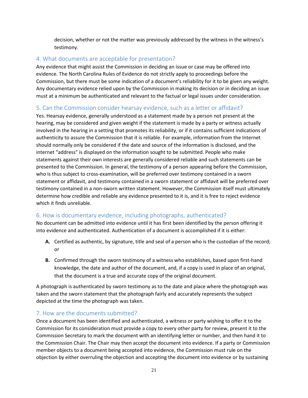decision, whether or not the matter was previously addressed by the witness in the witness's testimony.

### <span id="page-20-0"></span>4. What documents are acceptable for presentation?

Any evidence that might assist the Commission in deciding an issue or case may be offered into evidence. The North Carolina Rules of Evidence do not strictly apply to proceedings before the Commission, but there must be some indication of a document's reliability for it to be given any weight. Any documentary evidence relied upon by the Commission in making its decision or in deciding an issue must at a minimum be authenticated and relevant to the factual or legal issues under consideration.

### <span id="page-20-1"></span>5. Can the Commission consider hearsay evidence, such as a letter or affidavit?

Yes. Hearsay evidence, generally understood as a statement made by a person not present at the hearing, may be considered and given weight if the statement is made by a party or witness actually involved in the hearing in a setting that promotes its reliability, or if it contains sufficient indications of authenticity to assure the Commission that it is reliable. For example, information from the Internet should normally only be considered if the date and source of the information is disclosed, and the internet "address" is displayed on the information sought to be submitted. People who make statements against their own interests are generally considered reliable and such statements can be presented to the Commission. In general, the testimony of a person appearing before the Commission, who is thus subject to cross-examination, will be preferred over testimony contained in a sworn statement or affidavit, and testimony contained in a sworn statement or affidavit will be preferred over testimony contained in a non-sworn written statement. However, the Commission itself must ultimately determine how credible and reliable any evidence presented to it is, and it is free to reject evidence which it finds unreliable.

# <span id="page-20-2"></span>6. How is documentary evidence, including photographs, authenticated?

No document can be admitted into evidence until it has first been identified by the person offering it into evidence and authenticated. Authentication of a document is accomplished if it is either:

- **A.** Certified as authentic, by signature, title and seal of a person who is the custodian of the record; or
- **B.** Confirmed through the sworn testimony of a witness who establishes, based upon first-hand knowledge, the date and author of the document, and, if a copy is used in place of an original, that the document is a true and accurate copy of the original document.

A photograph is authenticated by sworn testimony as to the date and place where the photograph was taken and the sworn statement that the photograph fairly and accurately represents the subject depicted at the time the photograph was taken.

### <span id="page-20-3"></span>7. How are the documents submitted?

Once a document has been identified and authenticated, a witness or party wishing to offer it to the Commission for its consideration must provide a copy to every other party for review, present it to the Commission Secretary to mark the document with an identifying letter or number, and then hand it to the Commission Chair. The Chair may then accept the document into evidence. If a party or Commission member objects to a document being accepted into evidence, the Commission must rule on the objection by either overruling the objection and accepting the document into evidence or by sustaining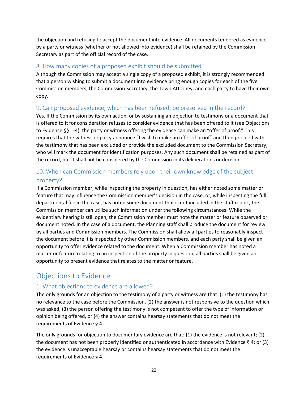the objection and refusing to accept the document into evidence. All documents tendered as evidence by a party or witness (whether or not allowed into evidence) shall be retained by the Commission Secretary as part of the official record of the case.

### <span id="page-21-0"></span>8. How many copies of a proposed exhibit should be submitted?

Although the Commission may accept a single copy of a proposed exhibit, it is strongly recommended that a person wishing to submit a document into evidence bring enough copies for each of the five Commission members, the Commission Secretary, the Town Attorney, and each party to have their own copy.

# <span id="page-21-1"></span>9. Can proposed evidence, which has been refused, be preserved in the record?

Yes. If the Commission by its own action, or by sustaining an objection to testimony or a document that is offered to it for consideration refuses to consider evidence that has been offered to it (see Objections to Evidence §§ 1-4), the party or witness offering the evidence can make an "offer of proof." This requires that the witness or party announce "I wish to make an offer of proof" and then proceed with the testimony that has been excluded or provide the excluded document to the Commission Secretary, who will mark the document for identification purposes. Any such document shall be retained as part of the record, but it shall not be considered by the Commission in its deliberations or decision.

# <span id="page-21-2"></span>10. When can Commission members rely upon their own knowledge of the subject property?

If a Commission member, while inspecting the property in question, has either noted some matter or feature that may influence the Commission member's decision in the case, or, while inspecting the full departmental file in the case, has noted some document that is not included in the staff report, the Commission member can utilize such information under the following circumstances: While the evidentiary hearing is still open, the Commission member must note the matter or feature observed or document noted. In the case of a document, the Planning staff shall produce the document for review by all parties and Commission members. The Commission shall allow all parties to reasonably inspect the document before it is inspected by other Commission members, and each party shall be given an opportunity to offer evidence related to the document. When a Commission member has noted a matter or feature relating to an inspection of the property in question, all parties shall be given an opportunity to present evidence that relates to the matter or feature.

# <span id="page-21-3"></span>Objections to Evidence

# <span id="page-21-4"></span>1. What objections to evidence are allowed?

The only grounds for an objection to the testimony of a party or witness are that: (1) the testimony has no relevance to the case before the Commission, (2) the answer is not responsive to the question which was asked, (3) the person offering the testimony is not competent to offer the type of information or opinion being offered, or (4) the answer contains hearsay statements that do not meet the requirements of Evidence § 4.

The only grounds for objection to documentary evidence are that: (1) the evidence is not relevant; (2) the document has not been properly identified or authenticated in accordance with Evidence § 4; or (3) the evidence is unacceptable hearsay or contains hearsay statements that do not meet the requirements of Evidence § 4.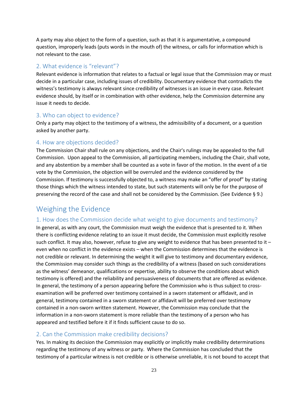A party may also object to the form of a question, such as that it is argumentative, a compound question, improperly leads (puts words in the mouth of) the witness, or calls for information which is not relevant to the case.

### <span id="page-22-0"></span>2. What evidence is "relevant"?

Relevant evidence is information that relates to a factual or legal issue that the Commission may or must decide in a particular case, including issues of credibility. Documentary evidence that contradicts the witness's testimony is always relevant since credibility of witnesses is an issue in every case. Relevant evidence should, by itself or in combination with other evidence, help the Commission determine any issue it needs to decide.

### <span id="page-22-1"></span>3. Who can object to evidence?

Only a party may object to the testimony of a witness, the admissibility of a document, or a question asked by another party.

### <span id="page-22-2"></span>4. How are objections decided?

The Commission Chair shall rule on any objections, and the Chair's rulings may be appealed to the full Commission. Upon appeal to the Commission, all participating members, including the Chair, shall vote, and any abstention by a member shall be counted as a vote in favor of the motion. In the event of a tie vote by the Commission, the objection will be overruled and the evidence considered by the Commission. If testimony is successfully objected to, a witness may make an "offer of proof" by stating those things which the witness intended to state, but such statements will only be for the purpose of preserving the record of the case and shall not be considered by the Commission. (See Evidence § 9.)

# <span id="page-22-3"></span>Weighing the Evidence

# <span id="page-22-4"></span>1. How does the Commission decide what weight to give documents and testimony?

In general, as with any court, the Commission must weigh the evidence that is presented to it. When there is conflicting evidence relating to an issue it must decide, the Commission must explicitly resolve such conflict. It may also, however, refuse to give any weight to evidence that has been presented to it – even when no conflict in the evidence exists – when the Commission determines that the evidence is not credible or relevant. In determining the weight it will give to testimony and documentary evidence, the Commission may consider such things as the credibility of a witness (based on such considerations as the witness' demeanor, qualifications or expertise, ability to observe the conditions about which testimony is offered) and the reliability and persuasiveness of documents that are offered as evidence. In general, the testimony of a person appearing before the Commission who is thus subject to crossexamination will be preferred over testimony contained in a sworn statement or affidavit, and in general, testimony contained in a sworn statement or affidavit will be preferred over testimony contained in a non-sworn written statement. However, the Commission may conclude that the information in a non-sworn statement is more reliable than the testimony of a person who has appeared and testified before it if it finds sufficient cause to do so.

# <span id="page-22-5"></span>2. Can the Commission make credibility decisions?

Yes. In making its decision the Commission may explicitly or implicitly make credibility determinations regarding the testimony of any witness or party. Where the Commission has concluded that the testimony of a particular witness is not credible or is otherwise unreliable, it is not bound to accept that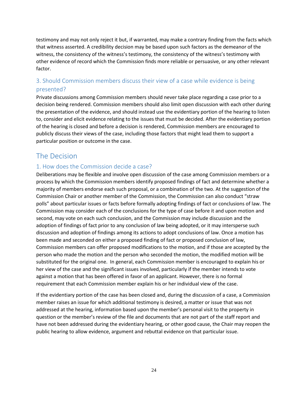testimony and may not only reject it but, if warranted, may make a contrary finding from the facts which that witness asserted. A credibility decision may be based upon such factors as the demeanor of the witness, the consistency of the witness's testimony, the consistency of the witness's testimony with other evidence of record which the Commission finds more reliable or persuasive, or any other relevant factor.

# <span id="page-23-0"></span>3. Should Commission members discuss their view of a case while evidence is being presented?

Private discussions among Commission members should never take place regarding a case prior to a decision being rendered. Commission members should also limit open discussion with each other during the presentation of the evidence, and should instead use the evidentiary portion of the hearing to listen to, consider and elicit evidence relating to the issues that must be decided. After the evidentiary portion of the hearing is closed and before a decision is rendered, Commission members are encouraged to publicly discuss their views of the case, including those factors that might lead them to support a particular position or outcome in the case.

# <span id="page-23-1"></span>The Decision

### <span id="page-23-2"></span>1. How does the Commission decide a case?

Deliberations may be flexible and involve open discussion of the case among Commission members or a process by which the Commission members identify proposed findings of fact and determine whether a majority of members endorse each such proposal, or a combination of the two. At the suggestion of the Commission Chair or another member of the Commission, the Commission can also conduct "straw polls" about particular issues or facts before formally adopting findings of fact or conclusions of law. The Commission may consider each of the conclusions for the type of case before it and upon motion and second, may vote on each such conclusion, and the Commission may include discussion and the adoption of findings of fact prior to any conclusion of law being adopted, or it may intersperse such discussion and adoption of findings among its actions to adopt conclusions of law. Once a motion has been made and seconded on either a proposed finding of fact or proposed conclusion of law, Commission members can offer proposed modifications to the motion, and if those are accepted by the person who made the motion and the person who seconded the motion, the modified motion will be substituted for the original one. In general, each Commission member is encouraged to explain his or her view of the case and the significant issues involved, particularly if the member intends to vote against a motion that has been offered in favor of an applicant. However, there is no formal requirement that each Commission member explain his or her individual view of the case.

If the evidentiary portion of the case has been closed and, during the discussion of a case, a Commission member raises an issue for which additional testimony is desired, a matter or issue that was not addressed at the hearing, information based upon the member's personal visit to the property in question or the member's review of the file and documents that are not part of the staff report and have not been addressed during the evidentiary hearing, or other good cause, the Chair may reopen the public hearing to allow evidence, argument and rebuttal evidence on that particular issue.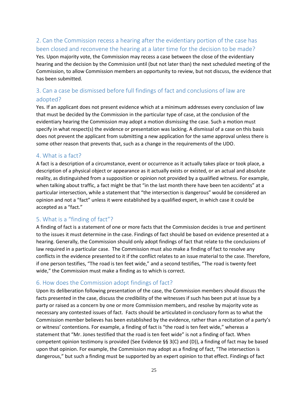# <span id="page-24-0"></span>2. Can the Commission recess a hearing after the evidentiary portion of the case has been closed and reconvene the hearing at a later time for the decision to be made?

Yes. Upon majority vote, the Commission may recess a case between the close of the evidentiary hearing and the decision by the Commission until (but not later than) the next scheduled meeting of the Commission, to allow Commission members an opportunity to review, but not discuss, the evidence that has been submitted.

# <span id="page-24-1"></span>3. Can a case be dismissed before full findings of fact and conclusions of law are adopted?

Yes. If an applicant does not present evidence which at a minimum addresses every conclusion of law that must be decided by the Commission in the particular type of case, at the conclusion of the evidentiary hearing the Commission may adopt a motion dismissing the case. Such a motion must specify in what respect(s) the evidence or presentation was lacking. A dismissal of a case on this basis does not prevent the applicant from submitting a new application for the same approval unless there is some other reason that prevents that, such as a change in the requirements of the UDO.

#### <span id="page-24-2"></span>4. What is a fact?

A fact is a description of a circumstance, event or occurrence as it actually takes place or took place, a description of a physical object or appearance as it actually exists or existed, or an actual and absolute reality, as distinguished from a supposition or opinion not provided by a qualified witness. For example, when talking about traffic, a fact might be that "in the last month there have been ten accidents" at a particular intersection, while a statement that "the intersection is dangerous" would be considered an opinion and not a "fact" unless it were established by a qualified expert, in which case it could be accepted as a "fact."

### <span id="page-24-3"></span>5. What is a "finding of fact"?

A finding of fact is a statement of one or more facts that the Commission decides is true and pertinent to the issues it must determine in the case. Findings of fact should be based on evidence presented at a hearing. Generally, the Commission should only adopt findings of fact that relate to the conclusions of law required in a particular case. The Commission must also make a finding of fact to resolve any conflicts in the evidence presented to it if the conflict relates to an issue material to the case. Therefore, if one person testifies, "The road is ten feet wide," and a second testifies, "The road is twenty feet wide," the Commission must make a finding as to which is correct.

### <span id="page-24-4"></span>6. How does the Commission adopt findings of fact?

Upon its deliberation following presentation of the case, the Commission members should discuss the facts presented in the case, discuss the credibility of the witnesses if such has been put at issue by a party or raised as a concern by one or more Commission members, and resolve by majority vote as necessary any contested issues of fact. Facts should be articulated in conclusory form as to what the Commission member believes has been established by the evidence, rather than a recitation of a party's or witness' contentions. For example, a finding of fact is "the road is ten feet wide," whereas a statement that "Mr. Jones testified that the road is ten feet wide" is not a finding of fact. When competent opinion testimony is provided (See Evidence §§ 3(C) and (D)), a finding of fact may be based upon that opinion. For example, the Commission may adopt as a finding of fact, "The intersection is dangerous," but such a finding must be supported by an expert opinion to that effect. Findings of fact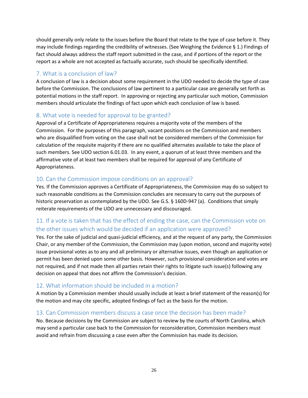should generally only relate to the issues before the Board that relate to the type of case before it. They may include findings regarding the credibility of witnesses. (See Weighing the Evidence § 1.) Findings of fact should always address the staff report submitted in the case, and if portions of the report or the report as a whole are not accepted as factually accurate, such should be specifically identified.

# <span id="page-25-0"></span>7. What is a conclusion of law?

A conclusion of law is a decision about some requirement in the UDO needed to decide the type of case before the Commission. The conclusions of law pertinent to a particular case are generally set forth as potential motions in the staff report. In approving or rejecting any particular such motion, Commission members should articulate the findings of fact upon which each conclusion of law is based.

# <span id="page-25-1"></span>8. What vote is needed for approval to be granted?

Approval of a Certificate of Appropriateness requires a majority vote of the members of the Commission. For the purposes of this paragraph, vacant positions on the Commission and members who are disqualified from voting on the case shall not be considered members of the Commission for calculation of the requisite majority if there are no qualified alternates available to take the place of such members. See UDO section 6.01.03. In any event, a quorum of at least three members and the affirmative vote of at least two members shall be required for approval of any Certificate of Appropriateness.

### <span id="page-25-2"></span>10. Can the Commission impose conditions on an approval?

Yes. If the Commission approves a Certificate of Appropriateness, the Commission may do so subject to such reasonable conditions as the Commission concludes are necessary to carry out the purposes of historic preservation as contemplated by the UDO. See G.S. § 160D-947 (a). Conditions that simply reiterate requirements of the UDO are unnecessary and discouraged.

# <span id="page-25-3"></span>11. If a vote is taken that has the effect of ending the case, can the Commission vote on the other issues which would be decided if an application were approved?

Yes. For the sake of judicial and quasi-judicial efficiency, and at the request of any party, the Commission Chair, or any member of the Commission, the Commission may (upon motion, second and majority vote) issue provisional votes as to any and all preliminary or alternative issues, even though an application or permit has been denied upon some other basis. However, such provisional consideration and votes are not required, and if not made then all parties retain their rights to litigate such issue(s) following any decision on appeal that does not affirm the Commission's decision.

# <span id="page-25-4"></span>12. What information should be included in a motion?

A motion by a Commission member should usually include at least a brief statement of the reason(s) for the motion and may cite specific, adopted findings of fact as the basis for the motion.

### <span id="page-25-5"></span>13. Can Commission members discuss a case once the decision has been made?

No. Because decisions by the Commission are subject to review by the courts of North Carolina, which may send a particular case back to the Commission for reconsideration, Commission members must avoid and refrain from discussing a case even after the Commission has made its decision.